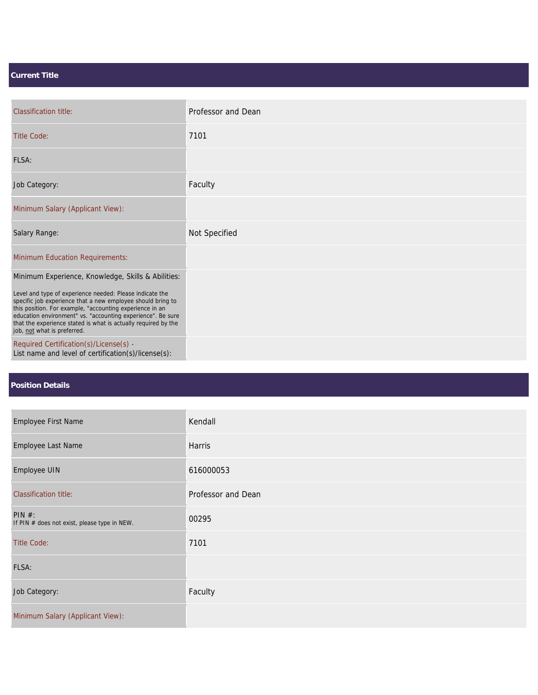## **Current Title**

| <b>Classification title:</b>                                                                                                                                                                                                                                                                                                                        | Professor and Dean |
|-----------------------------------------------------------------------------------------------------------------------------------------------------------------------------------------------------------------------------------------------------------------------------------------------------------------------------------------------------|--------------------|
| <b>Title Code:</b>                                                                                                                                                                                                                                                                                                                                  | 7101               |
| FLSA:                                                                                                                                                                                                                                                                                                                                               |                    |
| Job Category:                                                                                                                                                                                                                                                                                                                                       | Faculty            |
| Minimum Salary (Applicant View):                                                                                                                                                                                                                                                                                                                    |                    |
| Salary Range:                                                                                                                                                                                                                                                                                                                                       | Not Specified      |
| <b>Minimum Education Requirements:</b>                                                                                                                                                                                                                                                                                                              |                    |
| Minimum Experience, Knowledge, Skills & Abilities:                                                                                                                                                                                                                                                                                                  |                    |
| Level and type of experience needed: Please indicate the<br>specific job experience that a new employee should bring to<br>this position. For example, "accounting experience in an<br>education environment" vs. "accounting experience". Be sure<br>that the experience stated is what is actually required by the<br>job, not what is preferred. |                    |
| Required Certification(s)/License(s) -<br>List name and level of certification(s)/license(s):                                                                                                                                                                                                                                                       |                    |

## **Position Details**

| Employee First Name                                    | Kendall            |
|--------------------------------------------------------|--------------------|
| Employee Last Name                                     | Harris             |
| Employee UIN                                           | 616000053          |
| <b>Classification title:</b>                           | Professor and Dean |
| PIN #:<br>If PIN # does not exist, please type in NEW. | 00295              |
| <b>Title Code:</b>                                     | 7101               |
| FLSA:                                                  |                    |
| Job Category:                                          | Faculty            |
| Minimum Salary (Applicant View):                       |                    |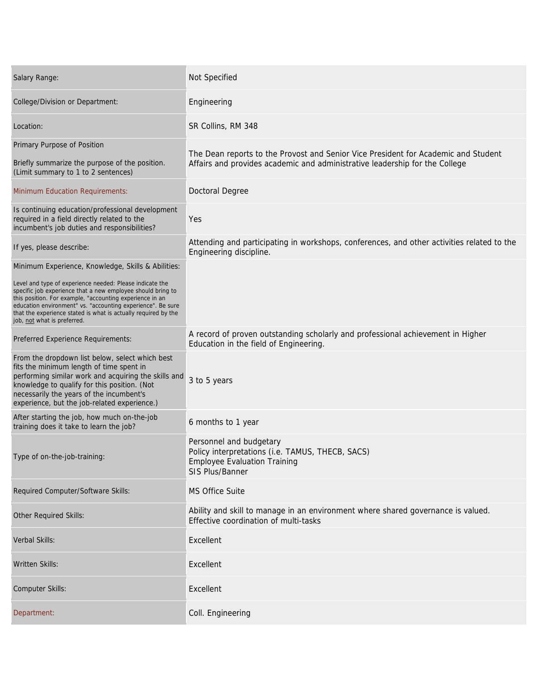| Salary Range:                                                                                                                                                                                                                                                                                                                                       | Not Specified                                                                                                                                                     |
|-----------------------------------------------------------------------------------------------------------------------------------------------------------------------------------------------------------------------------------------------------------------------------------------------------------------------------------------------------|-------------------------------------------------------------------------------------------------------------------------------------------------------------------|
| College/Division or Department:                                                                                                                                                                                                                                                                                                                     | Engineering                                                                                                                                                       |
| Location:                                                                                                                                                                                                                                                                                                                                           | SR Collins, RM 348                                                                                                                                                |
| Primary Purpose of Position<br>Briefly summarize the purpose of the position.<br>(Limit summary to 1 to 2 sentences)                                                                                                                                                                                                                                | The Dean reports to the Provost and Senior Vice President for Academic and Student<br>Affairs and provides academic and administrative leadership for the College |
| <b>Minimum Education Requirements:</b>                                                                                                                                                                                                                                                                                                              | <b>Doctoral Degree</b>                                                                                                                                            |
| Is continuing education/professional development<br>required in a field directly related to the<br>incumbent's job duties and responsibilities?                                                                                                                                                                                                     | Yes                                                                                                                                                               |
| If yes, please describe:                                                                                                                                                                                                                                                                                                                            | Attending and participating in workshops, conferences, and other activities related to the<br>Engineering discipline.                                             |
| Minimum Experience, Knowledge, Skills & Abilities:                                                                                                                                                                                                                                                                                                  |                                                                                                                                                                   |
| Level and type of experience needed: Please indicate the<br>specific job experience that a new employee should bring to<br>this position. For example, "accounting experience in an<br>education environment" vs. "accounting experience". Be sure<br>that the experience stated is what is actually required by the<br>job, not what is preferred. |                                                                                                                                                                   |
| Preferred Experience Requirements:                                                                                                                                                                                                                                                                                                                  | A record of proven outstanding scholarly and professional achievement in Higher<br>Education in the field of Engineering.                                         |
| From the dropdown list below, select which best<br>fits the minimum length of time spent in<br>performing similar work and acquiring the skills and<br>knowledge to qualify for this position. (Not<br>necessarily the years of the incumbent's<br>experience, but the job-related experience.)                                                     | 3 to 5 years                                                                                                                                                      |
| After starting the job, how much on-the-job<br>training does it take to learn the job?                                                                                                                                                                                                                                                              | 6 months to 1 year                                                                                                                                                |
| Type of on-the-job-training:                                                                                                                                                                                                                                                                                                                        | Personnel and budgetary<br>Policy interpretations (i.e. TAMUS, THECB, SACS)<br><b>Employee Evaluation Training</b><br>SIS Plus/Banner                             |
| Required Computer/Software Skills:                                                                                                                                                                                                                                                                                                                  | MS Office Suite                                                                                                                                                   |
| Other Required Skills:                                                                                                                                                                                                                                                                                                                              | Ability and skill to manage in an environment where shared governance is valued.<br>Effective coordination of multi-tasks                                         |
| Verbal Skills:                                                                                                                                                                                                                                                                                                                                      | Excellent                                                                                                                                                         |
| <b>Written Skills:</b>                                                                                                                                                                                                                                                                                                                              | Excellent                                                                                                                                                         |
| Computer Skills:                                                                                                                                                                                                                                                                                                                                    | Excellent                                                                                                                                                         |
| Department:                                                                                                                                                                                                                                                                                                                                         | Coll. Engineering                                                                                                                                                 |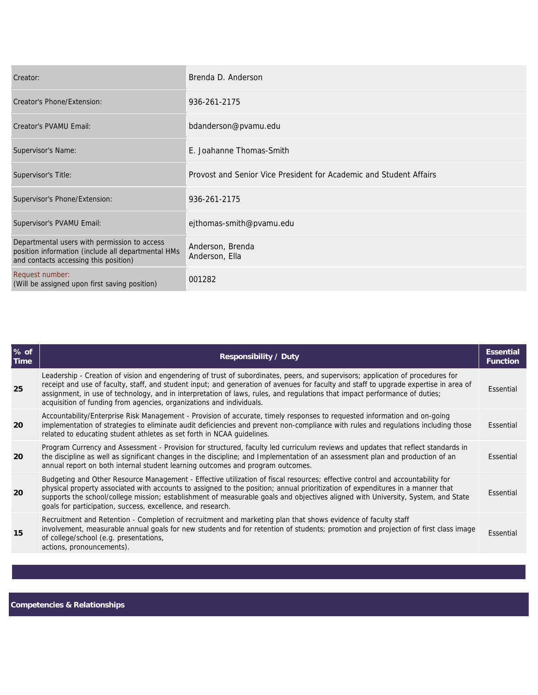| Creator:                                                                                                                                    | Brenda D. Anderson                                                 |
|---------------------------------------------------------------------------------------------------------------------------------------------|--------------------------------------------------------------------|
| Creator's Phone/Extension:                                                                                                                  | 936-261-2175                                                       |
| Creator's PVAMU Email:                                                                                                                      | bdanderson@pvamu.edu                                               |
| Supervisor's Name:                                                                                                                          | E. Joahanne Thomas-Smith                                           |
| Supervisor's Title:                                                                                                                         | Provost and Senior Vice President for Academic and Student Affairs |
| Supervisor's Phone/Extension:                                                                                                               | 936-261-2175                                                       |
| Supervisor's PVAMU Email:                                                                                                                   | ejthomas-smith@pvamu.edu                                           |
| Departmental users with permission to access<br>position information (include all departmental HMs<br>and contacts accessing this position) | Anderson, Brenda<br>Anderson, Ella                                 |
| Request number:<br>(Will be assigned upon first saving position)                                                                            | 001282                                                             |

| Leadership - Creation of vision and engendering of trust of subordinates, peers, and supervisors; application of procedures for<br>receipt and use of faculty, staff, and student input; and generation of avenues for faculty and staff to upgrade expertise in area of<br>25<br>assignment, in use of technology, and in interpretation of laws, rules, and regulations that impact performance of duties;                                                             |           |
|--------------------------------------------------------------------------------------------------------------------------------------------------------------------------------------------------------------------------------------------------------------------------------------------------------------------------------------------------------------------------------------------------------------------------------------------------------------------------|-----------|
| acquisition of funding from agencies, organizations and individuals.                                                                                                                                                                                                                                                                                                                                                                                                     | Essential |
| Accountability/Enterprise Risk Management - Provision of accurate, timely responses to requested information and on-going<br>implementation of strategies to eliminate audit deficiencies and prevent non-compliance with rules and regulations including those<br><b>20</b><br>related to educating student athletes as set forth in NCAA quidelines.                                                                                                                   | Essential |
| Program Currency and Assessment - Provision for structured, faculty led curriculum reviews and updates that reflect standards in<br>the discipline as well as significant changes in the discipline; and Implementation of an assessment plan and production of an<br><b>20</b><br>annual report on both internal student learning outcomes and program outcomes.                                                                                                        | Essential |
| Budgeting and Other Resource Management - Effective utilization of fiscal resources; effective control and accountability for<br>physical property associated with accounts to assigned to the position; annual prioritization of expenditures in a manner that<br>20<br>supports the school/college mission; establishment of measurable goals and objectives aligned with University, System, and State<br>goals for participation, success, excellence, and research. | Essential |
| Recruitment and Retention - Completion of recruitment and marketing plan that shows evidence of faculty staff<br>involvement, measurable annual goals for new students and for retention of students; promotion and projection of first class image<br>15<br>of college/school (e.g. presentations,<br>actions, pronouncements).                                                                                                                                         | Essential |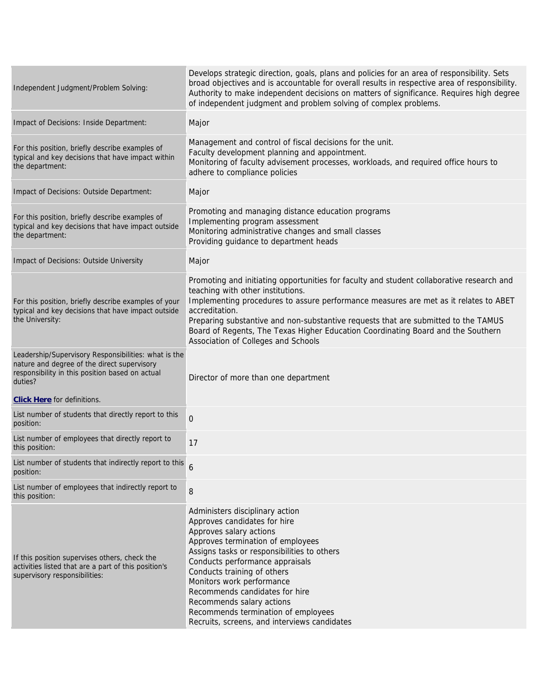| Independent Judgment/Problem Solving:                                                                                                                             | Develops strategic direction, goals, plans and policies for an area of responsibility. Sets<br>broad objectives and is accountable for overall results in respective area of responsibility.<br>Authority to make independent decisions on matters of significance. Requires high degree<br>of independent judgment and problem solving of complex problems.                                                                                              |
|-------------------------------------------------------------------------------------------------------------------------------------------------------------------|-----------------------------------------------------------------------------------------------------------------------------------------------------------------------------------------------------------------------------------------------------------------------------------------------------------------------------------------------------------------------------------------------------------------------------------------------------------|
| Impact of Decisions: Inside Department:                                                                                                                           | Major                                                                                                                                                                                                                                                                                                                                                                                                                                                     |
| For this position, briefly describe examples of<br>typical and key decisions that have impact within<br>the department:                                           | Management and control of fiscal decisions for the unit.<br>Faculty development planning and appointment.<br>Monitoring of faculty advisement processes, workloads, and required office hours to<br>adhere to compliance policies                                                                                                                                                                                                                         |
| Impact of Decisions: Outside Department:                                                                                                                          | Major                                                                                                                                                                                                                                                                                                                                                                                                                                                     |
| For this position, briefly describe examples of<br>typical and key decisions that have impact outside<br>the department:                                          | Promoting and managing distance education programs<br>Implementing program assessment<br>Monitoring administrative changes and small classes<br>Providing guidance to department heads                                                                                                                                                                                                                                                                    |
| <b>Impact of Decisions: Outside University</b>                                                                                                                    | Major                                                                                                                                                                                                                                                                                                                                                                                                                                                     |
| For this position, briefly describe examples of your<br>typical and key decisions that have impact outside<br>the University:                                     | Promoting and initiating opportunities for faculty and student collaborative research and<br>teaching with other institutions.<br>Implementing procedures to assure performance measures are met as it relates to ABET<br>accreditation.<br>Preparing substantive and non-substantive requests that are submitted to the TAMUS<br>Board of Regents, The Texas Higher Education Coordinating Board and the Southern<br>Association of Colleges and Schools |
| Leadership/Supervisory Responsibilities: what is the<br>nature and degree of the direct supervisory<br>responsibility in this position based on actual<br>duties? | Director of more than one department                                                                                                                                                                                                                                                                                                                                                                                                                      |
| <b>Click Here</b> for definitions.                                                                                                                                |                                                                                                                                                                                                                                                                                                                                                                                                                                                           |
| List number of students that directly report to this<br>position:                                                                                                 | $\mathbf 0$                                                                                                                                                                                                                                                                                                                                                                                                                                               |
| List number of employees that directly report to<br>this position:                                                                                                | 17                                                                                                                                                                                                                                                                                                                                                                                                                                                        |
| List number of students that indirectly report to this<br>position:                                                                                               |                                                                                                                                                                                                                                                                                                                                                                                                                                                           |
| List number of employees that indirectly report to<br>this position:                                                                                              | 8                                                                                                                                                                                                                                                                                                                                                                                                                                                         |
| If this position supervises others, check the<br>activities listed that are a part of this position's<br>supervisory responsibilities:                            | Administers disciplinary action<br>Approves candidates for hire<br>Approves salary actions<br>Approves termination of employees<br>Assigns tasks or responsibilities to others<br>Conducts performance appraisals<br>Conducts training of others<br>Monitors work performance<br>Recommends candidates for hire<br>Recommends salary actions<br>Recommends termination of employees<br>Recruits, screens, and interviews candidates                       |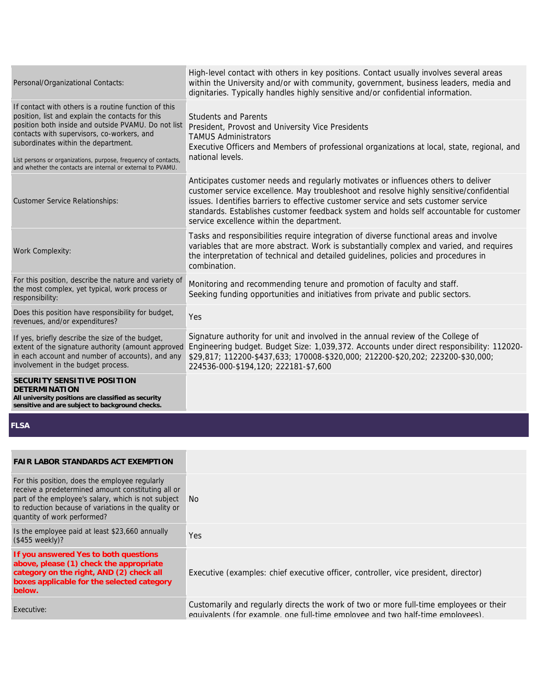| Personal/Organizational Contacts:                                                                                                                                                                                                                                                                                                                                                     | High-level contact with others in key positions. Contact usually involves several areas<br>within the University and/or with community, government, business leaders, media and<br>dignitaries. Typically handles highly sensitive and/or confidential information.                                                                                                                                          |
|---------------------------------------------------------------------------------------------------------------------------------------------------------------------------------------------------------------------------------------------------------------------------------------------------------------------------------------------------------------------------------------|--------------------------------------------------------------------------------------------------------------------------------------------------------------------------------------------------------------------------------------------------------------------------------------------------------------------------------------------------------------------------------------------------------------|
| If contact with others is a routine function of this<br>position, list and explain the contacts for this<br>position both inside and outside PVAMU. Do not list<br>contacts with supervisors, co-workers, and<br>subordinates within the department.<br>List persons or organizations, purpose, frequency of contacts,<br>and whether the contacts are internal or external to PVAMU. | <b>Students and Parents</b><br>President, Provost and University Vice Presidents<br><b>TAMUS Administrators</b><br>Executive Officers and Members of professional organizations at local, state, regional, and<br>national levels.                                                                                                                                                                           |
| <b>Customer Service Relationships:</b>                                                                                                                                                                                                                                                                                                                                                | Anticipates customer needs and regularly motivates or influences others to deliver<br>customer service excellence. May troubleshoot and resolve highly sensitive/confidential<br>issues. Identifies barriers to effective customer service and sets customer service<br>standards. Establishes customer feedback system and holds self accountable for customer<br>service excellence within the department. |
| <b>Work Complexity:</b>                                                                                                                                                                                                                                                                                                                                                               | Tasks and responsibilities require integration of diverse functional areas and involve<br>variables that are more abstract. Work is substantially complex and varied, and requires<br>the interpretation of technical and detailed guidelines, policies and procedures in<br>combination.                                                                                                                    |
| For this position, describe the nature and variety of<br>the most complex, yet typical, work process or<br>responsibility:                                                                                                                                                                                                                                                            | Monitoring and recommending tenure and promotion of faculty and staff.<br>Seeking funding opportunities and initiatives from private and public sectors.                                                                                                                                                                                                                                                     |
| Does this position have responsibility for budget,<br>revenues, and/or expenditures?                                                                                                                                                                                                                                                                                                  | Yes                                                                                                                                                                                                                                                                                                                                                                                                          |
| If yes, briefly describe the size of the budget,<br>extent of the signature authority (amount approved<br>in each account and number of accounts), and any<br>involvement in the budget process.                                                                                                                                                                                      | Signature authority for unit and involved in the annual review of the College of<br>Engineering budget. Budget Size: 1,039,372. Accounts under direct responsibility: 112020-<br>\$29,817; 112200-\$437,633; 170008-\$320,000; 212200-\$20,202; 223200-\$30,000;<br>224536-000-\$194,120; 222181-\$7,600                                                                                                     |
| SECURITY SENSITIVE POSITION<br><b>DETERMINATION</b>                                                                                                                                                                                                                                                                                                                                   |                                                                                                                                                                                                                                                                                                                                                                                                              |

**All university positions are classified as security sensitive and are subject to background checks.**

**FLSA** 

## **FAIR LABOR STANDARDS ACT EXEMPTION**

For this position, does the employee regularly receive a predetermined amount constituting all or part of the employee's salary, which is not subject to reduction because of variations in the quality or quantity of work performed? No

Is the employee paid at least \$23,660 annually (\$455 weekly)? Yes

**If you answered Yes to both questions above, please (1) check the appropriate category on the right, AND (2) check all boxes applicable for the selected category below.**

Executive (examples: chief executive officer, controller, vice president, director)

Executive: Customarily and regularly directs the work of two or more full-time employees or their equivalents (for example, one full-time employee and two half-time employees).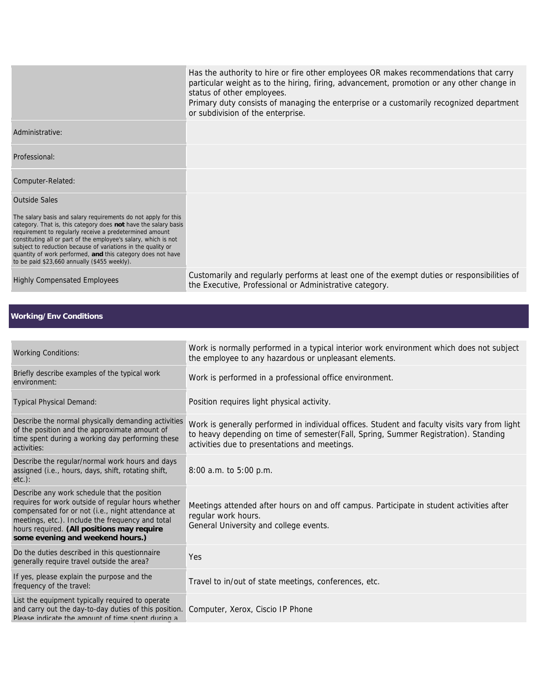|                                                                                                                                                                                                                                                                                                                                                                                                                                                | or subdivision of the enterprise.                                                                                                                                                                                                     |
|------------------------------------------------------------------------------------------------------------------------------------------------------------------------------------------------------------------------------------------------------------------------------------------------------------------------------------------------------------------------------------------------------------------------------------------------|---------------------------------------------------------------------------------------------------------------------------------------------------------------------------------------------------------------------------------------|
| Administrative:                                                                                                                                                                                                                                                                                                                                                                                                                                |                                                                                                                                                                                                                                       |
| Professional:                                                                                                                                                                                                                                                                                                                                                                                                                                  |                                                                                                                                                                                                                                       |
| Computer-Related:                                                                                                                                                                                                                                                                                                                                                                                                                              |                                                                                                                                                                                                                                       |
| <b>Outside Sales</b>                                                                                                                                                                                                                                                                                                                                                                                                                           |                                                                                                                                                                                                                                       |
| The salary basis and salary requirements do not apply for this<br>category. That is, this category does not have the salary basis<br>requirement to regularly receive a predetermined amount<br>constituting all or part of the employee's salary, which is not<br>subject to reduction because of variations in the quality or<br>quantity of work performed, and this category does not have<br>to be paid \$23,660 annually (\$455 weekly). |                                                                                                                                                                                                                                       |
| <b>Highly Compensated Employees</b>                                                                                                                                                                                                                                                                                                                                                                                                            | Customarily and regularly performs at least one of the exempt duties or responsibilities of<br>the Executive, Professional or Administrative category.                                                                                |
|                                                                                                                                                                                                                                                                                                                                                                                                                                                |                                                                                                                                                                                                                                       |
| <b>Working/Env Conditions</b>                                                                                                                                                                                                                                                                                                                                                                                                                  |                                                                                                                                                                                                                                       |
|                                                                                                                                                                                                                                                                                                                                                                                                                                                |                                                                                                                                                                                                                                       |
| <b>Working Conditions:</b>                                                                                                                                                                                                                                                                                                                                                                                                                     | Work is normally performed in a typical interior work environment which does not subject<br>the employee to any hazardous or unpleasant elements.                                                                                     |
| Briefly describe examples of the typical work<br>environment:                                                                                                                                                                                                                                                                                                                                                                                  | Work is performed in a professional office environment.                                                                                                                                                                               |
| <b>Typical Physical Demand:</b>                                                                                                                                                                                                                                                                                                                                                                                                                | Position requires light physical activity.                                                                                                                                                                                            |
| Describe the normal physically demanding activities<br>of the position and the approximate amount of<br>time spent during a working day performing these<br>activities:                                                                                                                                                                                                                                                                        | Work is generally performed in individual offices. Student and faculty visits vary from light<br>to heavy depending on time of semester(Fall, Spring, Summer Registration). Standing<br>activities due to presentations and meetings. |
| Describe the regular/normal work hours and days<br>assigned (i.e., hours, days, shift, rotating shift,<br>$etc.$ ):                                                                                                                                                                                                                                                                                                                            | 8:00 a.m. to 5:00 p.m.                                                                                                                                                                                                                |
| Describe any work schedule that the position<br>requires for work outside of regular hours whether<br>compensated for or not (i.e., night attendance at<br>meetings, etc.). Include the frequency and total<br>hours required. (All positions may require<br>some evening and weekend hours.)                                                                                                                                                  | Meetings attended after hours on and off campus. Participate in student activities after<br>regular work hours.<br>General University and college events.                                                                             |
| Do the duties described in this questionnaire<br>generally require travel outside the area?                                                                                                                                                                                                                                                                                                                                                    | Yes                                                                                                                                                                                                                                   |
| If yes, please explain the purpose and the<br>frequency of the travel:                                                                                                                                                                                                                                                                                                                                                                         | Travel to in/out of state meetings, conferences, etc.                                                                                                                                                                                 |
| List the equipment typically required to operate<br>and carry out the day-to-day duties of this position.<br>Please indicate the amount of time snent during a                                                                                                                                                                                                                                                                                 | Computer, Xerox, Ciscio IP Phone                                                                                                                                                                                                      |
|                                                                                                                                                                                                                                                                                                                                                                                                                                                |                                                                                                                                                                                                                                       |

status of other employees.

Has the authority to hire or fire other employees OR makes recommendations that carry particular weight as to the hiring, firing, advancement, promotion or any other change in

Primary duty consists of managing the enterprise or a customarily recognized department